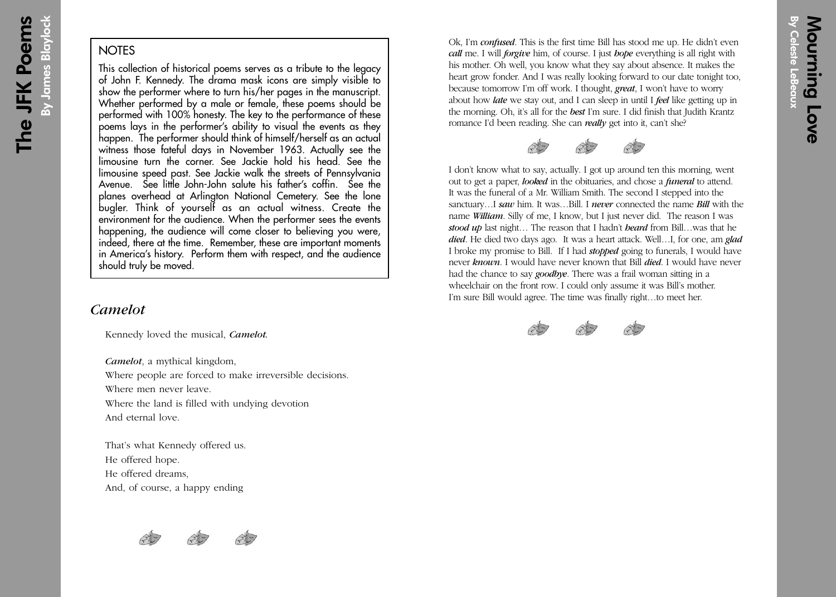## **NOTES**

This collection of historical poems serves as a tribute to the legacy of John F. Kennedy. The drama mask icons are simply visible to show the performer where to turn his/her pages in the manuscript. Whether performed by a male or female, these poems should be performed with 100% honesty. The key to the performance of these poems lays in the performer's ability to visual the events as they happen. The performer should think of himself/herself as an actual witness those fateful days in November 1963. Actually see the limousine turn the corner. See Jackie hold his head. See the limousine speed past. See Jackie walk the streets of Pennsylvania Avenue. See little John-John salute his father's coffin. See the planes overhead at Arlington National Cemetery. See the lone bugler. Think of yourself as an actual witness. Create the environment for the audience. When the performer sees the events happening, the audience will come closer to believing you were, indeed, there at the time. Remember, these are important moments in America's history. Perform them with respect, and the audience should truly be moved.

## *Camelot*

Kennedy loved the musical, *Camelot.*

*Camelot*, a mythical kingdom,

Where people are forced to make irreversible decisions.

Where men never leave.

Where the land is filled with undying devotion

And eternal love.

That's what Kennedy offered us. He offered hope. He offered dreams, And, of course, a happy ending